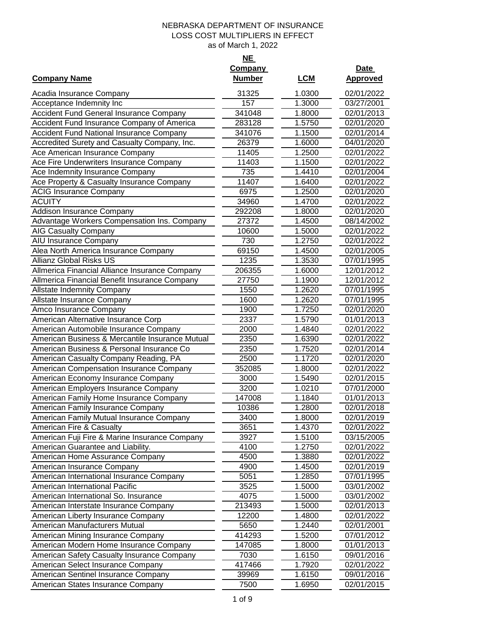|                                                 | <u>NE</u>      |            |                 |
|-------------------------------------------------|----------------|------------|-----------------|
|                                                 | <b>Company</b> |            | Date            |
| <b>Company Name</b>                             | <b>Number</b>  | <b>LCM</b> | <b>Approved</b> |
| Acadia Insurance Company                        | 31325          | 1.0300     | 02/01/2022      |
| Acceptance Indemnity Inc                        | 157            | 1.3000     | 03/27/2001      |
| Accident Fund General Insurance Company         | 341048         | 1.8000     | 02/01/2013      |
| Accident Fund Insurance Company of America      | 283128         | 1.5750     | 02/01/2020      |
| Accident Fund National Insurance Company        | 341076         | 1.1500     | 02/01/2014      |
| Accredited Surety and Casualty Company, Inc.    | 26379          | 1.6000     | 04/01/2020      |
| Ace American Insurance Company                  | 11405          | 1.2500     | 02/01/2022      |
| Ace Fire Underwriters Insurance Company         | 11403          | 1.1500     | 02/01/2022      |
| Ace Indemnity Insurance Company                 | 735            | 1.4410     | 02/01/2004      |
| Ace Property & Casualty Insurance Company       | 11407          | 1.6400     | 02/01/2022      |
| <b>ACIG Insurance Company</b>                   | 6975           | 1.2500     | 02/01/2020      |
| <b>ACUITY</b>                                   | 34960          | 1.4700     | 02/01/2022      |
| Addison Insurance Company                       | 292208         | 1.8000     | 02/01/2020      |
| Advantage Workers Compensation Ins. Company     | 27372          | 1.4500     | 08/14/2002      |
| <b>AIG Casualty Company</b>                     | 10600          | 1.5000     | 02/01/2022      |
| AIU Insurance Company                           | 730            | 1.2750     | 02/01/2022      |
| Alea North America Insurance Company            | 69150          | 1.4500     | 02/01/2005      |
| <b>Allianz Global Risks US</b>                  | 1235           | 1.3530     | 07/01/1995      |
| Allmerica Financial Alliance Insurance Company  | 206355         | 1.6000     | 12/01/2012      |
| Allmerica Financial Benefit Insurance Company   | 27750          | 1.1900     | 12/01/2012      |
| <b>Allstate Indemnity Company</b>               | 1550           | 1.2620     | 07/01/1995      |
| Allstate Insurance Company                      | 1600           | 1.2620     | 07/01/1995      |
| Amco Insurance Company                          | 1900           | 1.7250     | 02/01/2020      |
| American Alternative Insurance Corp             | 2337           | 1.5790     | 01/01/2013      |
| American Automobile Insurance Company           | 2000           | 1.4840     | 02/01/2022      |
| American Business & Mercantile Insurance Mutual | 2350           | 1.6390     | 02/01/2022      |
| American Business & Personal Insurance Co       | 2350           | 1.7520     | 02/01/2014      |
| American Casualty Company Reading, PA           | 2500           | 1.1720     | 02/01/2020      |
| American Compensation Insurance Company         | 352085         | 1.8000     | 02/01/2022      |
| American Economy Insurance Company              | 3000           | 1.5490     | 02/01/2015      |
| American Employers Insurance Company            | 3200           | 1.0210     | 07/01/2000      |
| American Family Home Insurance Company          | 147008         | 1.1840     | 01/01/2013      |
| American Family Insurance Company               | 10386          | 1.2800     | 02/01/2018      |
| American Family Mutual Insurance Company        | 3400           | 1.8000     | 02/01/2019      |
| American Fire & Casualty                        | 3651           | 1.4370     | 02/01/2022      |
| American Fuji Fire & Marine Insurance Company   | 3927           | 1.5100     | 03/15/2005      |
| American Guarantee and Liability.               | 4100           | 1.2750     | 02/01/2022      |
| American Home Assurance Company                 | 4500           | 1.3880     | 02/01/2022      |
| American Insurance Company                      | 4900           | 1.4500     | 02/01/2019      |
| American International Insurance Company        | 5051           | 1.2850     | 07/01/1995      |
| American International Pacific                  | 3525           | 1.5000     | 03/01/2002      |
| American International So. Insurance            | 4075           | 1.5000     | 03/01/2002      |
| American Interstate Insurance Company           | 213493         | 1.5000     | 02/01/2013      |
| American Liberty Insurance Company              | 12200          | 1.4800     | 02/01/2022      |
| American Manufacturers Mutual                   | 5650           | 1.2440     | 02/01/2001      |
| American Mining Insurance Company               | 414293         | 1.5200     | 07/01/2012      |
| American Modern Home Insurance Company          | 147085         | 1.8000     | 01/01/2013      |
| American Safety Casualty Insurance Company      | 7030           | 1.6150     | 09/01/2016      |
| American Select Insurance Company               | 417466         | 1.7920     | 02/01/2022      |
| American Sentinel Insurance Company             | 39969          | 1.6150     | 09/01/2016      |
| American States Insurance Company               | 7500           | 1.6950     | 02/01/2015      |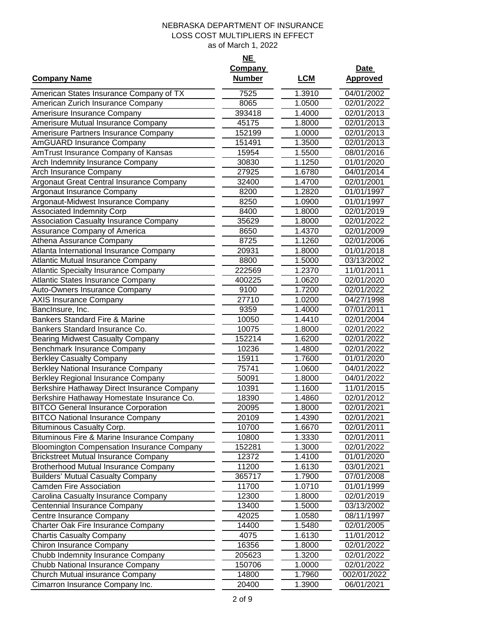|                                                   | <b>Company</b> |            | Date            |  |
|---------------------------------------------------|----------------|------------|-----------------|--|
| <b>Company Name</b>                               | <b>Number</b>  | <b>LCM</b> | <b>Approved</b> |  |
| American States Insurance Company of TX           | 7525           | 1.3910     | 04/01/2002      |  |
| American Zurich Insurance Company                 | 8065           | 1.0500     | 02/01/2022      |  |
| Amerisure Insurance Company                       | 393418         | 1.4000     | 02/01/2013      |  |
| Amerisure Mutual Insurance Company                | 45175          | 1.8000     | 02/01/2013      |  |
| Amerisure Partners Insurance Company              | 152199         | 1.0000     | 02/01/2013      |  |
| AmGUARD Insurance Company                         | 151491         | 1.3500     | 02/01/2013      |  |
| AmTrust Insurance Company of Kansas               | 15954          | 1.5500     | 08/01/2016      |  |
| Arch Indemnity Insurance Company                  | 30830          | 1.1250     | 01/01/2020      |  |
| <b>Arch Insurance Company</b>                     | 27925          | 1.6780     | 04/01/2014      |  |
| Argonaut Great Central Insurance Company          | 32400          | 1.4700     | 02/01/2001      |  |
| Argonaut Insurance Company                        | 8200           | 1.2820     | 01/01/1997      |  |
| Argonaut-Midwest Insurance Company                | 8250           | 1.0900     | 01/01/1997      |  |
| <b>Associated Indemnity Corp</b>                  | 8400           | 1.8000     | 02/01/2019      |  |
| <b>Association Casualty Insurance Company</b>     | 35629          | 1.8000     | 02/01/2022      |  |
| Assurance Company of America                      | 8650           | 1.4370     | 02/01/2009      |  |
| Athena Assurance Company                          | 8725           | 1.1260     | 02/01/2006      |  |
| Atlanta International Insurance Company           | 20931          | 1.8000     | 01/01/2018      |  |
| <b>Atlantic Mutual Insurance Company</b>          | 8800           | 1.5000     | 03/13/2002      |  |
| <b>Atlantic Specialty Insurance Company</b>       | 222569         | 1.2370     | 11/01/2011      |  |
| <b>Atlantic States Insurance Company</b>          | 400225         | 1.0620     | 02/01/2020      |  |
| Auto-Owners Insurance Company                     | 9100           | 1.7200     | 02/01/2022      |  |
| <b>AXIS Insurance Company</b>                     | 27710          | 1.0200     | 04/27/1998      |  |
| BancInsure, Inc.                                  | 9359           | 1.4000     | 07/01/2011      |  |
| <b>Bankers Standard Fire &amp; Marine</b>         | 10050          | 1.4410     | 02/01/2004      |  |
| Bankers Standard Insurance Co.                    | 10075          | 1.8000     | 02/01/2022      |  |
| Bearing Midwest Casualty Company                  | 152214         | 1.6200     | 02/01/2022      |  |
| Benchmark Insurance Company                       | 10236          | 1.4800     | 02/01/2022      |  |
| <b>Berkley Casualty Company</b>                   | 15911          | 1.7600     | 01/01/2020      |  |
| Berkley National Insurance Company                | 75741          | 1.0600     | 04/01/2022      |  |
| Berkley Regional Insurance Company                | 50091          | 1.8000     | 04/01/2022      |  |
| Berkshire Hathaway Direct Insurance Company       | 10391          | 1.1600     | 11/01/2015      |  |
| Berkshire Hathaway Homestate Insurance Co.        | 18390          | 1.4860     | 02/01/2012      |  |
| <b>BITCO General Insurance Corporation</b>        | 20095          | 1.8000     | 02/01/2021      |  |
| <b>BITCO National Insurance Company</b>           | 20109          | 1.4390     | 02/01/2021      |  |
| Bituminous Casualty Corp.                         | 10700          | 1.6670     | 02/01/2011      |  |
| Bituminous Fire & Marine Insurance Company        | 10800          | 1.3330     | 02/01/2011      |  |
| <b>Bloomington Compensation Insurance Company</b> | 152281         | 1.3000     | 02/01/2022      |  |
| <b>Brickstreet Mutual Insurance Company</b>       | 12372          | 1.4100     | 01/01/2020      |  |
| Brotherhood Mutual Insurance Company              | 11200          | 1.6130     | 03/01/2021      |  |
| <b>Builders' Mutual Casualty Company</b>          | 365717         | 1.7900     | 07/01/2008      |  |
| <b>Camden Fire Association</b>                    | 11700          | 1.0710     | 01/01/1999      |  |
| Carolina Casualty Insurance Company               | 12300          | 1.8000     | 02/01/2019      |  |
| Centennial Insurance Company                      | 13400          | 1.5000     | 03/13/2002      |  |
| Centre Insurance Company                          | 42025          | 1.0580     | 08/11/1997      |  |
| Charter Oak Fire Insurance Company                | 14400          | 1.5480     | 02/01/2005      |  |
| <b>Chartis Casualty Company</b>                   | 4075           | 1.6130     | 11/01/2012      |  |
| Chiron Insurance Company                          | 16356          | 1.8000     | 02/01/2022      |  |
| Chubb Indemnity Insurance Company                 | 205623         | 1.3200     | 02/01/2022      |  |
| Chubb National Insurance Company                  | 150706         | 1.0000     | 02/01/2022      |  |
| Church Mutual insurance Company                   | 14800          | 1.7960     | 002/01/2022     |  |
| Cimarron Insurance Company Inc.                   | 20400          | 1.3900     | 06/01/2021      |  |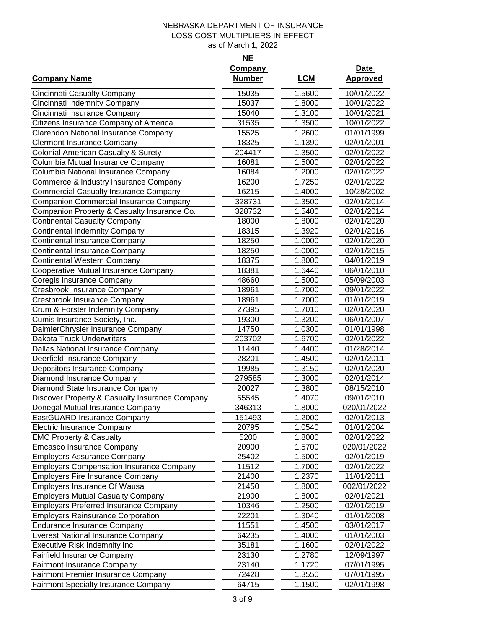**Date** 

# **NE Company**

| <b>Company Name</b>                             | <b>Number</b> | <b>LCM</b> | <b>Approved</b> |
|-------------------------------------------------|---------------|------------|-----------------|
| Cincinnati Casualty Company                     | 15035         | 1.5600     | 10/01/2022      |
| Cincinnati Indemnity Company                    | 15037         | 1.8000     | 10/01/2022      |
| Cincinnati Insurance Company                    | 15040         | 1.3100     | 10/01/2021      |
| Citizens Insurance Company of America           | 31535         | 1.3500     | 10/01/2022      |
| Clarendon National Insurance Company            | 15525         | 1.2600     | 01/01/1999      |
| <b>Clermont Insurance Company</b>               | 18325         | 1.1390     | 02/01/2001      |
| <b>Colonial American Casualty &amp; Surety</b>  | 204417        | 1.3500     | 02/01/2022      |
| Columbia Mutual Insurance Company               | 16081         | 1.5000     | 02/01/2022      |
| Columbia National Insurance Company             | 16084         | 1.2000     | 02/01/2022      |
| Commerce & Industry Insurance Company           | 16200         | 1.7250     | 02/01/2022      |
| <b>Commercial Casualty Insurance Company</b>    | 16215         | 1.4000     | 10/28/2002      |
| <b>Companion Commercial Insurance Company</b>   | 328731        | 1.3500     | 02/01/2014      |
| Companion Property & Casualty Insurance Co.     | 328732        | 1.5400     | 02/01/2014      |
| <b>Continental Casualty Company</b>             | 18000         | 1.8000     | 02/01/2020      |
| <b>Continental Indemnity Company</b>            | 18315         | 1.3920     | 02/01/2016      |
| <b>Continental Insurance Company</b>            | 18250         | 1.0000     | 02/01/2020      |
| <b>Continental Insurance Company</b>            | 18250         | 1.0000     | 02/01/2015      |
| <b>Continental Western Company</b>              | 18375         | 1.8000     | 04/01/2019      |
| Cooperative Mutual Insurance Company            | 18381         | 1.6440     | 06/01/2010      |
| Coregis Insurance Company                       | 48660         | 1.5000     | 05/09/2003      |
| Cresbrook Insurance Company                     | 18961         | 1.7000     | 09/01/2022      |
| Crestbrook Insurance Company                    | 18961         | 1.7000     | 01/01/2019      |
| Crum & Forster Indemnity Company                | 27395         | 1.7010     | 02/01/2020      |
| Cumis Insurance Society, Inc.                   | 19300         | 1.3200     | 06/01/2007      |
| DaimlerChrysler Insurance Company               | 14750         | 1.0300     | 01/01/1998      |
| Dakota Truck Underwriters                       | 203702        | 1.6700     | 02/01/2022      |
| Dallas National Insurance Company               | 11440         | 1.4400     | 01/28/2014      |
| Deerfield Insurance Company                     | 28201         | 1.4500     | 02/01/2011      |
| Depositors Insurance Company                    | 19985         | 1.3150     | 02/01/2020      |
| Diamond Insurance Company                       | 279585        | 1.3000     | 02/01/2014      |
| Diamond State Insurance Company                 | 20027         | 1.3800     | 08/15/2010      |
| Discover Property & Casualty Insurance Company  | 55545         | 1.4070     | 09/01/2010      |
| Donegal Mutual Insurance Company                | 346313        | 1.8000     | 020/01/2022     |
| EastGUARD Insurance Company                     | 151493        | 1.2000     | 02/01/2013      |
| <b>Electric Insurance Company</b>               | 20795         | 1.0540     | 01/01/2004      |
| <b>EMC Property &amp; Casualty</b>              | 5200          | 1.8000     | 02/01/2022      |
| <b>Emcasco Insurance Company</b>                | 20900         | 1.5700     | 020/01/2022     |
| <b>Employers Assurance Company</b>              | 25402         | 1.5000     | 02/01/2019      |
| <b>Employers Compensation Insurance Company</b> | 11512         | 1.7000     | 02/01/2022      |
| <b>Employers Fire Insurance Company</b>         | 21400         | 1.2370     | 11/01/2011      |
| <b>Employers Insurance Of Wausa</b>             | 21450         | 1.8000     | 002/01/2022     |
| <b>Employers Mutual Casualty Company</b>        | 21900         | 1.8000     | 02/01/2021      |
| <b>Employers Preferred Insurance Company</b>    | 10346         | 1.2500     | 02/01/2019      |
| <b>Employers Reinsurance Corporation</b>        | 22201         | 1.3040     | 01/01/2008      |
| <b>Endurance Insurance Company</b>              | 11551         | 1.4500     | 03/01/2017      |
| <b>Everest National Insurance Company</b>       | 64235         | 1.4000     | 01/01/2003      |
| Executive Risk Indemnity Inc.                   | 35181         | 1.1600     | 02/01/2022      |
| Fairfield Insurance Company                     | 23130         | 1.2780     | 12/09/1997      |
| <b>Fairmont Insurance Company</b>               | 23140         | 1.1720     | 07/01/1995      |
| Fairmont Premier Insurance Company              | 72428         | 1.3550     | 07/01/1995      |
| <b>Fairmont Specialty Insurance Company</b>     | 64715         | 1.1500     | 02/01/1998      |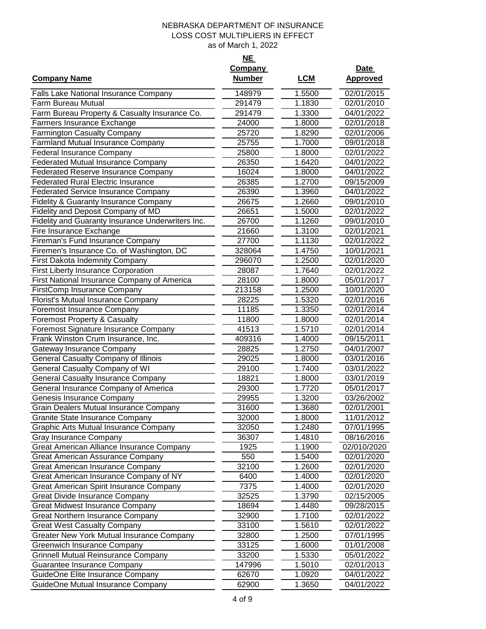|                                                   | <b>Company</b> |            | Date            |
|---------------------------------------------------|----------------|------------|-----------------|
| <b>Company Name</b>                               | <b>Number</b>  | <b>LCM</b> | <b>Approved</b> |
| Falls Lake National Insurance Company             | 148979         | 1.5500     | 02/01/2015      |
| Farm Bureau Mutual                                | 291479         | 1.1830     | 02/01/2010      |
| Farm Bureau Property & Casualty Insurance Co.     | 291479         | 1.3300     | 04/01/2022      |
| Farmers Insurance Exchange                        | 24000          | 1.8000     | 02/01/2018      |
| <b>Farmington Casualty Company</b>                | 25720          | 1.8290     | 02/01/2006      |
| <b>Farmland Mutual Insurance Company</b>          | 25755          | 1.7000     | 09/01/2018      |
| <b>Federal Insurance Company</b>                  | 25800          | 1.8000     | 02/01/2022      |
| <b>Federated Mutual Insurance Company</b>         | 26350          | 1.6420     | 04/01/2022      |
| <b>Federated Reserve Insurance Company</b>        | 16024          | 1.8000     | 04/01/2022      |
| <b>Federated Rural Electric Insurance</b>         | 26385          | 1.2700     | 09/15/2009      |
| <b>Federated Service Insurance Company</b>        | 26390          | 1.3960     | 04/01/2022      |
| <b>Fidelity &amp; Guaranty Insurance Company</b>  | 26675          | 1.2660     | 09/01/2010      |
| Fidelity and Deposit Company of MD                | 26651          | 1.5000     | 02/01/2022      |
| Fidelity and Guaranty Insurance Underwriters Inc. | 26700          | 1.1260     | 09/01/2010      |
| Fire Insurance Exchange                           | 21660          | 1.3100     | 02/01/2021      |
| Fireman's Fund Insurance Company                  | 27700          | 1.1130     | 02/01/2022      |
| Firemen's Insurance Co. of Washington, DC         | 328064         | 1.4750     | 10/01/2021      |
| First Dakota Indemnity Company                    | 296070         | 1.2500     | 02/01/2020      |
| <b>First Liberty Insurance Corporation</b>        | 28087          | 1.7640     | 02/01/2022      |
| First National Insurance Company of America       | 28100          | 1.8000     | 05/01/2017      |
| <b>FirstComp Insurance Company</b>                | 213158         | 1.2500     | 10/01/2020      |
| Florist's Mutual Insurance Company                | 28225          | 1.5320     | 02/01/2016      |
| Foremost Insurance Company                        | 11185          | 1.3350     | 02/01/2014      |
| Foremost Property & Casualty                      | 11800          | 1.8000     | 02/01/2014      |
| Foremost Signature Insurance Company              | 41513          | 1.5710     | 02/01/2014      |
| Frank Winston Crum Insurance, Inc.                | 409316         | 1.4000     | 09/15/2011      |
| Gateway Insurance Company                         | 28825          | 1.2750     | 04/01/2007      |
| <b>General Casualty Company of Illinois</b>       | 29025          | 1.8000     | 03/01/2016      |
| General Casualty Company of WI                    | 29100          | 1.7400     | 03/01/2022      |
| <b>General Casualty Insurance Company</b>         | 18821          | 1.8000     | 03/01/2019      |
| General Insurance Company of America              | 29300          | 1.7720     | 05/01/2017      |
| Genesis Insurance Company                         | 29955          | 1.3200     | 03/26/2002      |
| Grain Dealers Mutual Insurance Company            | 31600          | 1.3680     | 02/01/2001      |
| Granite State Insurance Company                   | 32000          | 1.8000     | 11/01/2012      |
| Graphic Arts Mutual Insurance Company             | 32050          | 1.2480     | 07/01/1995      |
| Gray Insurance Company                            | 36307          | 1.4810     | 08/16/2016      |
| Great American Alliance Insurance Company         | 1925           | 1.1900     | 02/010/2020     |
| Great American Assurance Company                  | 550            | 1.5400     | 02/01/2020      |
| <b>Great American Insurance Company</b>           | 32100          | 1.2600     | 02/01/2020      |
| Great American Insurance Company of NY            | 6400           | 1.4000     | 02/01/2020      |
| Great American Spirit Insurance Company           | 7375           | 1.4000     | 02/01/2020      |
| Great Divide Insurance Company                    | 32525          | 1.3790     | 02/15/2005      |
| <b>Great Midwest Insurance Company</b>            | 18694          | 1.4480     | 09/28/2015      |
| Great Northern Insurance Company                  | 32900          | 1.7100     | 02/01/2022      |
| <b>Great West Casualty Company</b>                | 33100          | 1.5610     | 02/01/2022      |
| Greater New York Mutual Insurance Company         | 32800          | 1.2500     | 07/01/1995      |
| Greenwich Insurance Company                       | 33125          | 1.6000     | 01/01/2008      |
| <b>Grinnell Mutual Reinsurance Company</b>        | 33200          | 1.5330     | 05/01/2022      |
| Guarantee Insurance Company                       | 147996         | 1.5010     | 02/01/2013      |
| GuideOne Elite Insurance Company                  | 62670          | 1.0920     | 04/01/2022      |
| GuideOne Mutual Insurance Company                 | 62900          | 1.3650     | 04/01/2022      |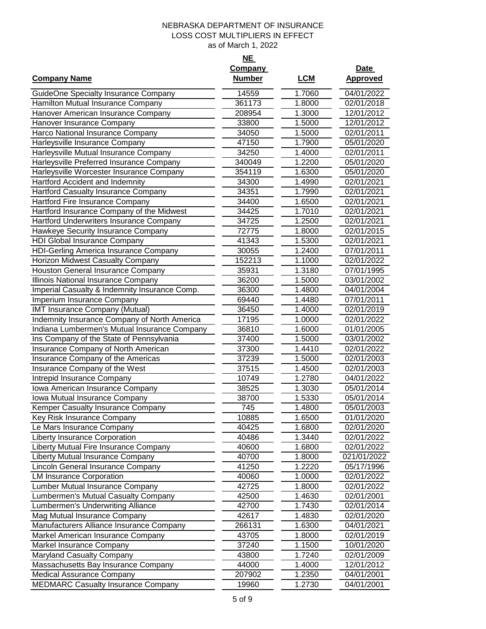#### **Company Name NE Company Number LCM Date Approved** GuideOne Specialty Insurance Company  $14559$  1.7060 04/01/2022 Hamilton Mutual Insurance Company  $\frac{361173}{1.8000}$  02/01/2018 Hanover American Insurance Company 208954 1.3000 12/01/2012 Hanover Insurance Company 33800 1.5000 12/01/2012 Harco National Insurance Company 34050 1.5000 02/01/2011 Harleysville Insurance Company 47150 1.7900 05/01/2020 Harleysville Mutual Insurance Company  $34250$  1.4000 02/01/2011 Harleysville Preferred Insurance Company 340049 1.2200 05/01/2020 Harleysville Worcester Insurance Company 354119 1.6300 05/01/2020 Hartford Accident and Indemnity 34300 1.4990 02/01/2021 Hartford Casualty Insurance Company 34351 1.7990 02/01/2021 Hartford Fire Insurance Company 234400 1.6500 02/01/2021 Hartford Insurance Company of the Midwest 34425 1.7010 02/01/2021 Hartford Underwriters Insurance Company 34725 1.2500 02/01/2021 Hawkeye Security Insurance Company 72775 1.8000 02/01/2015 HDI Global Insurance Company 41343 1.5300 02/01/2021 HDI-Gerling America Insurance Company 30055 1.2400 07/01/2011 Horizon Midwest Casualty Company 152213 1.1000 02/01/2022 Houston General Insurance Company 35931 1.3180 07/01/1995 Illinois National Insurance Company 36200 1.5000 03/01/2002 Imperial Casualty & Indemnity Insurance Comp. 36300 1.4800 04/01/2004 Imperium Insurance Company 69440 1.4480 07/01/2011 IMT Insurance Company (Mutual) 36450 1.4000 02/01/2019 Indemnity Insurance Company of North America 17195 1.0000 02/01/2022 Indiana Lumbermen's Mutual Insurance Company 36810 1.6000 01/01/2005 Ins Company of the State of Pennsylvania 37400 1.5000 03/01/2002 Insurance Company of North American 37300 1.4410 02/01/2022 Insurance Company of the Americas 37239 1.5000 02/01/2003 Insurance Company of the West 37515 1.4500 02/01/2003 Intrepid Insurance Company 10749 1.2780 04/01/2022 Iowa American Insurance Company 1.30525 1.3030 05/01/2014 Iowa Mutual Insurance Company 38700 1.5330 05/01/2014 Kemper Casualty Insurance Company  $\frac{745}{1.4800}$  1.4800 05/01/2003 Key Risk Insurance Company 10885 1.6500 01/01/2020 Le Mars Insurance Company 40425 1.6800 02/01/2020 Liberty Insurance Corporation 40486 1.3440 02/01/2022 Liberty Mutual Fire Insurance Company 40600 1.6800 02/01/2022 Liberty Mutual Insurance Company 1.8000 1.8000 021/01/2022 Lincoln General Insurance Company  $41250$  1.2220 05/17/1996 LM Insurance Corporation 20000 1.0000 02/01/2022 Lumber Mutual Insurance Company  $\overline{a}$  42725  $\overline{a}$  1.8000  $\overline{02/01/2022}$ Lumbermen's Mutual Casualty Company 42500 1.4630 02/01/2001 Lumbermen's Underwriting Alliance  $\frac{42700}{42700}$  1.7430 02/01/2014 Mag Mutual Insurance Company 142617 1.4830 02/01/2020 Manufacturers Alliance Insurance Company  $266131$  1.6300 04/01/2021 Markel American Insurance Company 43705 1.8000 02/01/2019 Markel Insurance Company 1.1500 10/01/2020 1.1500 10/01/2020 Maryland Casualty Company 1.7240 1.7240 02/01/2009 Massachusetts Bay Insurance Company  $44000$  1.4000 12/01/2012 Medical Assurance Company 207902 1.2350 04/01/2001

5 of 9

MEDMARC Casualty Insurance Company 19960 1.2730 04/01/2001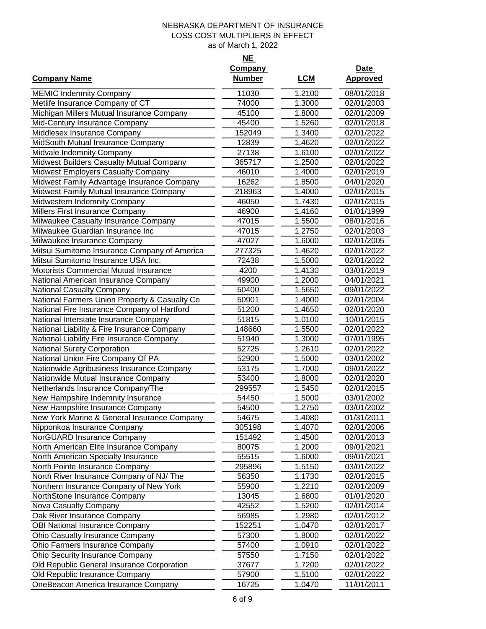#### **Company Name NE Company Number LCM Date Approved** MEMIC Indemnity Company 11030 1.2100 08/01/2018 Metlife Insurance Company of CT  $1.3000$   $1.3000$  02/01/2003 Michigan Millers Mutual Insurance Company 45100 1.8000 02/01/2009 Mid-Century Insurance Company 45400 1.5260 02/01/2018 Middlesex Insurance Company 152049 1.3400 02/01/2022 MidSouth Mutual Insurance Company 12839 1.4620 02/01/2022 Midvale Indemnity Company 27138 1.6100 02/01/2022 Midwest Builders Casualty Mutual Company 365717 1.2500 02/01/2022 Midwest Employers Casualty Company  $46010$  1.4000 02/01/2019 Midwest Family Advantage Insurance Company 16262 1.8500 04/01/2020 Midwest Family Mutual Insurance Company 218963 1.4000 02/01/2015 Midwestern Indemnity Company  $46050$  1.7430 02/01/2015 Millers First Insurance Company 146900 1.4160 01/01/1999 Milwaukee Casualty Insurance Company  $\frac{47015}{1.5500}$  1.5500 08/01/2016 Milwaukee Guardian Insurance Inc 1.2760 1.2750 1.2750 02/01/2003 Milwaukee Insurance Company 47027 1.6000 02/01/2005 Mitsui Sumitomo Insurance Company of America 277325 1.4620 02/01/2022 Mitsui Sumitomo Insurance USA Inc. 72438 1.5000 02/01/2022 Motorists Commercial Mutual Insurance 4200 1.4130 03/01/2019 National American Insurance Company 19900 1.2000 1.2000 04/01/2021 National Casualty Company **1.5650** 1.5650 09/01/2022 National Farmers Union Property & Casualty Co 60901 1.4000 02/01/2004 National Fire Insurance Company of Hartford 51200 1.4650 02/01/2020 National Interstate Insurance Company  $\qquad \qquad 51815$  1.0100 10/01/2015 National Liability & Fire Insurance Company 148660 1.5500 02/01/2022 National Liability Fire Insurance Company  $1.3000$  07/01/1995 National Surety Corporation **1.2610** 1.2610 1.2610 02/01/2022 National Union Fire Company Of PA 52900 1.5000 03/01/2002 Nationwide Agribusiness Insurance Company  $1.7000$  09/01/2022 Nationwide Mutual Insurance Company  $1.8000$  02/01/2020 Netherlands Insurance Company/The  $299557$  1.5450 02/01/2015 New Hampshire Indemnity Insurance  $\frac{54450}{1.5000}$  1.5000 03/01/2002 New Hampshire Insurance Company  $54500$  1.2750 03/01/2002 New York Marine & General Insurance Company  $1.4080$  01/31/2011 Nipponkoa Insurance Company 305198 1.4070 02/01/2006 NorGUARD Insurance Company 151492 1.4500 02/01/2013 North American Elite Insurance Company 80075 1.2000 09/01/2021 North American Specialty Insurance  $\overline{55515}$  1.6000 09/01/2021 North Pointe Insurance Company 295896 1.5150 03/01/2022 North River Insurance Company of NJ/ The 56350 1.1730 02/01/2015 Northern Insurance Company of New York  $55900$  1.2210 02/01/2009 NorthStone Insurance Company 13045 1.6800 01/01/2020 Nova Casualty Company 42552 1.5200 02/01/2014 Oak River Insurance Company 1.2980 1.2980 02/01/2012 OBI National Insurance Company 152251 1.0470 02/01/2017 Ohio Casualty Insurance Company 67300 1.8000 02/01/2022 Ohio Farmers Insurance Company 57400 1.0910 02/01/2022 Ohio Security Insurance Company  $57550$  1.7150 02/01/2022 Old Republic General Insurance Corporation 37677 1.7200 02/01/2022 Old Republic Insurance Company 57900 1.5100 02/01/2022 OneBeacon America Insurance Company 16725 1.0470 11/01/2011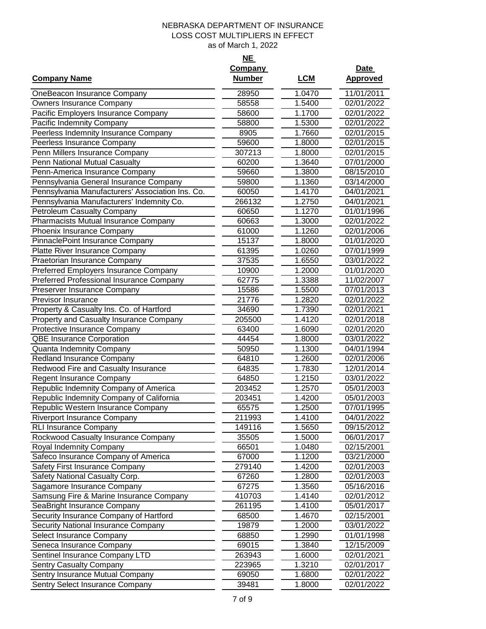|                                                  | <b>Company</b> |            | Date            |
|--------------------------------------------------|----------------|------------|-----------------|
| <b>Company Name</b>                              | <b>Number</b>  | <b>LCM</b> | <b>Approved</b> |
| OneBeacon Insurance Company                      | 28950          | 1.0470     | 11/01/2011      |
| <b>Owners Insurance Company</b>                  | 58558          | 1.5400     | 02/01/2022      |
| Pacific Employers Insurance Company              | 58600          | 1.1700     | 02/01/2022      |
| Pacific Indemnity Company                        | 58800          | 1.5300     | 02/01/2022      |
| Peerless Indemnity Insurance Company             | 8905           | 1.7660     | 02/01/2015      |
| Peerless Insurance Company                       | 59600          | 1.8000     | 02/01/2015      |
| Penn Millers Insurance Company                   | 307213         | 1.8000     | 02/01/2015      |
| Penn National Mutual Casualty                    | 60200          | 1.3640     | 07/01/2000      |
| Penn-America Insurance Company                   | 59660          | 1.3800     | 08/15/2010      |
| Pennsylvania General Insurance Company           | 59800          | 1.1360     | 03/14/2000      |
| Pennsylvania Manufacturers' Association Ins. Co. | 60050          | 1.4170     | 04/01/2021      |
| Pennsylvania Manufacturers' Indemnity Co.        | 266132         | 1.2750     | 04/01/2021      |
| <b>Petroleum Casualty Company</b>                | 60650          | 1.1270     | 01/01/1996      |
| Pharmacists Mutual Insurance Company             | 60663          | 1.3000     | 02/01/2022      |
| Phoenix Insurance Company                        | 61000          | 1.1260     | 02/01/2006      |
| PinnaclePoint Insurance Company                  | 15137          | 1.8000     | 01/01/2020      |
| Platte River Insurance Company                   | 61395          | 1.0260     | 07/01/1999      |
| Praetorian Insurance Company                     | 37535          | 1.6550     | 03/01/2022      |
| Preferred Employers Insurance Company            | 10900          | 1.2000     | 01/01/2020      |
| Preferred Professional Insurance Company         | 62775          | 1.3388     | 11/02/2007      |
| Preserver Insurance Company                      | 15586          | 1.5500     | 07/01/2013      |
| Previsor Insurance                               | 21776          | 1.2820     | 02/01/2022      |
| Property & Casualty Ins. Co. of Hartford         | 34690          | 1.7390     | 02/01/2021      |
| Property and Casualty Insurance Company          | 205500         | 1.4120     | 02/01/2018      |
| Protective Insurance Company                     | 63400          | 1.6090     | 02/01/2020      |
| QBE Insurance Corporation                        | 44454          | 1.8000     | 03/01/2022      |
| Quanta Indemnity Company                         | 50950          | 1.1300     | 04/01/1994      |
| Redland Insurance Company                        | 64810          | 1.2600     | 02/01/2006      |
| Redwood Fire and Casualty Insurance              | 64835          | 1.7830     | 12/01/2014      |
| <b>Regent Insurance Company</b>                  | 64850          | 1.2150     | 03/01/2022      |
| Republic Indemnity Company of America            | 203452         | 1.2570     | 05/01/2003      |
| Republic Indemnity Company of California         | 203451         | 1.4200     | 05/01/2003      |
| Republic Western Insurance Company               | 65575          | 1.2500     | 07/01/1995      |
| Riverport Insurance Company                      | 211993         | 1.4100     | 04/01/2022      |
| <b>RLI Insurance Company</b>                     | 149116         | 1.5650     | 09/15/2012      |
| Rockwood Casualty Insurance Company              | 35505          | 1.5000     | 06/01/2017      |
| Royal Indemnity Company                          | 66501          | 1.0480     | 02/15/2001      |
| Safeco Insurance Company of America              | 67000          | 1.1200     | 03/21/2000      |
| Safety First Insurance Company                   | 279140         | 1.4200     | 02/01/2003      |
| Safety National Casualty Corp.                   | 67260          | 1.2800     | 02/01/2003      |
| Sagamore Insurance Company                       | 67275          | 1.3560     | 05/16/2016      |
| Samsung Fire & Marine Insurance Company          | 410703         | 1.4140     | 02/01/2012      |
| SeaBright Insurance Company                      | 261195         | 1.4100     | 05/01/2017      |
| Security Insurance Company of Hartford           | 68500          | 1.4670     | 02/15/2001      |
| Security National Insurance Company              | 19879          | 1.2000     | 03/01/2022      |
| Select Insurance Company                         | 68850          | 1.2990     | 01/01/1998      |
| Seneca Insurance Company                         | 69015          | 1.3840     | 12/15/2009      |
| Sentinel Insurance Company LTD                   | 263943         | 1.6000     | 02/01/2021      |
| Sentry Casualty Company                          | 223965         | 1.3210     | 02/01/2017      |
| Sentry Insurance Mutual Company                  | 69050          | 1.6800     | 02/01/2022      |
| Sentry Select Insurance Company                  | 39481          | 1.8000     | 02/01/2022      |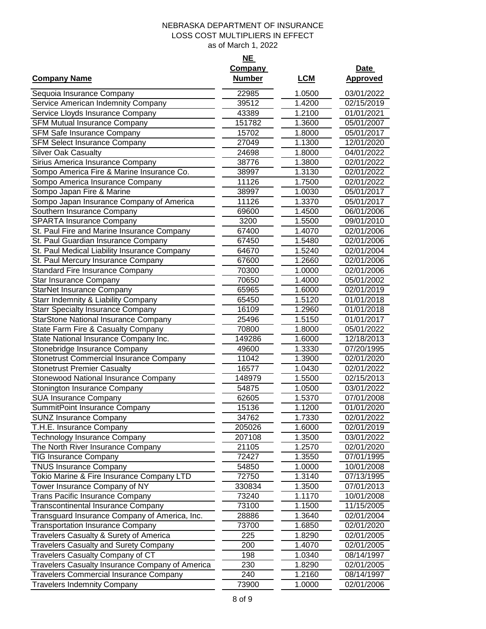#### **Company Name NE Company Number LCM Date Approved** Sequoia Insurance Company 22985 1.0500 03/01/2022 Service American Indemnity Company  $39512$  1.4200 02/15/2019 Service Lloyds Insurance Company 43389 1.2100 01/01/2021 SFM Mutual Insurance Company 151782 1.3600 05/01/2007 SFM Safe Insurance Company 15702 1.8000 05/01/2017 SFM Select Insurance Company 27049 1.1300 12/01/2020 Silver Oak Casualty 24698 1.8000 04/01/2022 Sirius America Insurance Company 2008 100 102/01/2022 Sompo America Fire & Marine Insurance Co.  $\qquad \qquad 38997$  1.3130 02/01/2022 Sompo America Insurance Company  $11126$  1.7500 02/01/2022 Sompo Japan Fire & Marine 2001 2017 2018 1.0030 05/01/2017 Sompo Japan Insurance Company of America 11126 1.3370 05/01/2017 Southern Insurance Company 69600 1.4500 06/01/2006 SPARTA Insurance Company 1.5500 09/01/2010 St. Paul Fire and Marine Insurance Company  $\overline{67400}$   $\overline{1.4070}$   $\overline{02/01/2006}$ St. Paul Guardian Insurance Company 67450 1.5480 02/01/2006 St. Paul Medical Liability Insurance Company 64670 1.5240 02/01/2004 St. Paul Mercury Insurance Company 67600 1.2660 02/01/2006 Standard Fire Insurance Company 70300 1.0000 02/01/2006 Star Insurance Company 2006 1.4000 1.4000 1.4000 1.4000 05/01/2002 StarNet Insurance Company 65965 1.6000 02/01/2019 Starr Indemnity & Liability Company  $65450$  1.5120 01/01/2018 Starr Specialty Insurance Company 16109 16109 1.2960 01/01/2018 StarStone National Insurance Company 25496 1.5150 01/01/2017 State Farm Fire & Casualty Company  $70800$  1.8000 05/01/2022 State National Insurance Company Inc. <br>149286 1.6000 12/18/2013 Stonebridge Insurance Company 1.3330 1.3330 07/20/1995 Stonetrust Commercial Insurance Company  $11042$  1.3900 02/01/2020 Stonetrust Premier Casualty 16577 1.0430 02/01/2022 Stonewood National Insurance Company 148979 1.5500 02/15/2013 Stonington Insurance Company 54875 1.0500 03/01/2022 SUA Insurance Company 1.5370 07/01/2008 SummitPoint Insurance Company 15136 1.1200 01/01/2020 SUNZ Insurance Company 34762 1.7330 02/01/2022 T.H.E. Insurance Company 205026 1.6000 02/01/2019 Technology Insurance Company 207108 1.3500 03/01/2022 The North River Insurance Company 21105 1.2570 02/01/2020 TIG Insurance Company 22427 1.3550 07/01/1995 TNUS Insurance Company 54850 1.0000 10/01/2008 Tokio Marine & Fire Insurance Company LTD 72750 1.3140 07/13/1995 Tower Insurance Company of NY 330834 1.3500 07/01/2013 Trans Pacific Insurance Company 2008 1.1170 1.1170 1.1170 10/01/2008 Transcontinental Insurance Company 73100 1.1500 11/15/2005 Transguard Insurance Company of America, Inc. 28886 1.3640 02/01/2004 Transportation Insurance Company 73700 1.6850 02/01/2020 Travelers Casualty & Surety of America 225 1.8290 02/01/2005 Travelers Casualty and Surety Company 200 1.4070 02/01/2005 Travelers Casualty Company of CT 198 198 1.0340 08/14/1997 Travelers Casualty Insurance Company of America 230 1.8290 02/01/2005 Travelers Commercial Insurance Company 240 1.2160 08/14/1997 Travelers Indemnity Company 73900 1.0000 02/01/2006